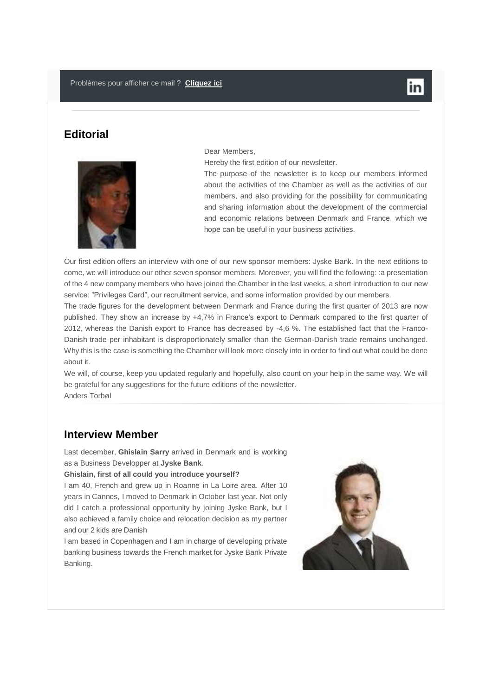# **Editorial**



#### Dear Members,

Hereby the first edition of our newsletter.

The purpose of the newsletter is to keep our members informed about the activities of the Chamber as well as the activities of our members, and also providing for the possibility for communicating and sharing information about the development of the commercial and economic relations between Denmark and France, which we hope can be useful in your business activities.

Our first edition offers an interview with one of our new sponsor members: Jyske Bank. In the next editions to come, we will introduce our other seven sponsor members. Moreover, you will find the following: :a presentation of the 4 new company members who have joined the Chamber in the last weeks, a short introduction to our new service: "Privileges Card", our recruitment service, and some information provided by our members.

The trade figures for the development between Denmark and France during the first quarter of 2013 are now published. They show an increase by +4,7% in France's export to Denmark compared to the first quarter of 2012, whereas the Danish export to France has decreased by -4,6 %. The established fact that the Franco-Danish trade per inhabitant is disproportionately smaller than the German-Danish trade remains unchanged. Why this is the case is something the Chamber will look more closely into in order to find out what could be done about it.

We will, of course, keep you updated regularly and hopefully, also count on your help in the same way. We will be grateful for any suggestions for the future editions of the newsletter. Anders Torbøl

# **Interview Member**

Last december, **Ghislain Sarry** arrived in Denmark and is working as a Business Developper at **Jyske Bank**.

#### **Ghislain, first of all could you introduce yourself?**

I am 40, French and grew up in Roanne in La Loire area. After 10 years in Cannes, I moved to Denmark in October last year. Not only did I catch a professional opportunity by joining Jyske Bank, but I also achieved a family choice and relocation decision as my partner and our 2 kids are Danish

I am based in Copenhagen and I am in charge of developing private banking business towards the French market for Jyske Bank Private Banking.

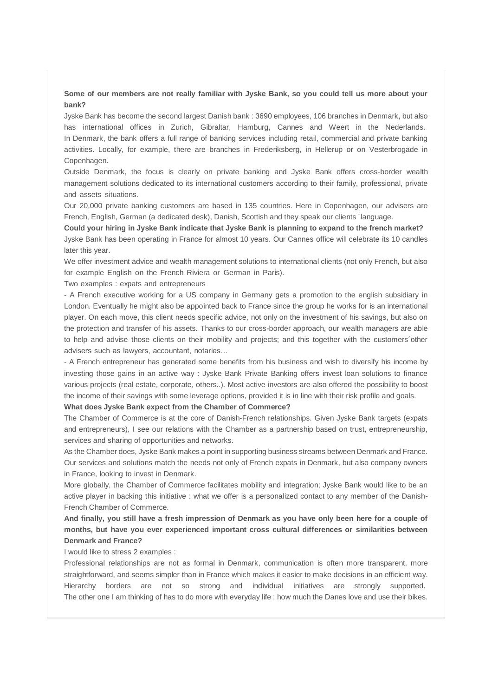#### **Some of our members are not really familiar with Jyske Bank, so you could tell us more about your bank?**

Jyske Bank has become the second largest Danish bank : 3690 employees, 106 branches in Denmark, but also has international offices in Zurich, Gibraltar, Hamburg, Cannes and Weert in the Nederlands. In Denmark, the bank offers a full range of banking services including retail, commercial and private banking activities. Locally, for example, there are branches in Frederiksberg, in Hellerup or on Vesterbrogade in Copenhagen.

Outside Denmark, the focus is clearly on private banking and Jyske Bank offers cross-border wealth management solutions dedicated to its international customers according to their family, professional, private and assets situations.

Our 20,000 private banking customers are based in 135 countries. Here in Copenhagen, our advisers are French, English, German (a dedicated desk), Danish, Scottish and they speak our clients ´language.

**Could your hiring in Jyske Bank indicate that Jyske Bank is planning to expand to the french market?** Jyske Bank has been operating in France for almost 10 years. Our Cannes office will celebrate its 10 candles later this vear.

We offer investment advice and wealth management solutions to international clients (not only French, but also for example English on the French Riviera or German in Paris).

Two examples : expats and entrepreneurs

- A French executive working for a US company in Germany gets a promotion to the english subsidiary in London. Eventually he might also be appointed back to France since the group he works for is an international player. On each move, this client needs specific advice, not only on the investment of his savings, but also on the protection and transfer of his assets. Thanks to our cross-border approach, our wealth managers are able to help and advise those clients on their mobility and projects; and this together with the customers´other advisers such as lawyers, accountant, notaries...

- A French entrepreneur has generated some benefits from his business and wish to diversify his income by investing those gains in an active way : Jyske Bank Private Banking offers invest loan solutions to finance various projects (real estate, corporate, others..). Most active investors are also offered the possibility to boost the income of their savings with some leverage options, provided it is in line with their risk profile and goals.

**What does Jyske Bank expect from the Chamber of Commerce?**

The Chamber of Commerce is at the core of Danish-French relationships. Given Jyske Bank targets (expats and entrepreneurs), I see our relations with the Chamber as a partnership based on trust, entrepreneurship, services and sharing of opportunities and networks.

As the Chamber does, Jyske Bank makes a point in supporting business streams between Denmark and France. Our services and solutions match the needs not only of French expats in Denmark, but also company owners in France, looking to invest in Denmark.

More globally, the Chamber of Commerce facilitates mobility and integration; Jyske Bank would like to be an active player in backing this initiative : what we offer is a personalized contact to any member of the Danish-French Chamber of Commerce.

**And finally, you still have a fresh impression of Denmark as you have only been here for a couple of months, but have you ever experienced important cross cultural differences or similarities between Denmark and France?**

I would like to stress 2 examples :

Professional relationships are not as formal in Denmark, communication is often more transparent, more straightforward, and seems simpler than in France which makes it easier to make decisions in an efficient way. Hierarchy borders are not so strong and individual initiatives are strongly supported. The other one I am thinking of has to do more with everyday life : how much the Danes love and use their bikes.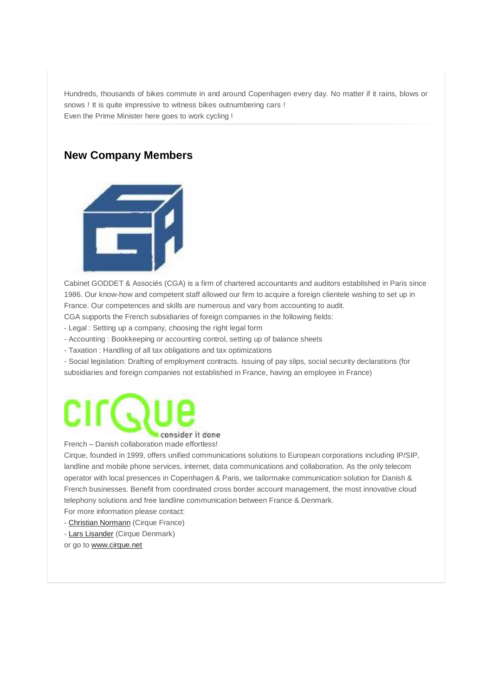Hundreds, thousands of bikes commute in and around Copenhagen every day. No matter if it rains, blows or snows ! It is quite impressive to witness bikes outnumbering cars ! Even the Prime Minister here goes to work cycling !

# **New Company Members**



Cabinet GODDET & Associés (CGA) is a firm of chartered accountants and auditors established in Paris since 1986. Our know-how and competent staff allowed our firm to acquire a foreign clientele wishing to set up in France. Our competences and skills are numerous and vary from accounting to audit. CGA supports the French subsidiaries of foreign companies in the following fields:

- Legal : Setting up a company, choosing the right legal form

- Accounting : Bookkeeping or accounting control, setting up of balance sheets

- Taxation : Handling of all tax obligations and tax optimizations

- Social legislation: Drafting of employment contracts. Issuing of pay slips, social security declarations (for subsidiaries and foreign companies not established in France, having an employee in France)

# consider it done

French – Danish collaboration made effortless!

Cirque, founded in 1999, offers unified communications solutions to European corporations including IP/SIP, landline and mobile phone services, internet, data communications and collaboration. As the only telecom operator with local presences in Copenhagen & Paris, we tailormake communication solution for Danish & French businesses. Benefit from coordinated cross border account management, the most innovative cloud telephony solutions and free landline communication between France & Denmark.

For more information please contact:

- [Christian Normann](mailto:cn@cirque.net) (Cirque France)

- [Lars Lisander](mailto:lli@cirque.dk) (Cirque Denmark)

or go to [www.cirque.net](http://www.cirque.net/)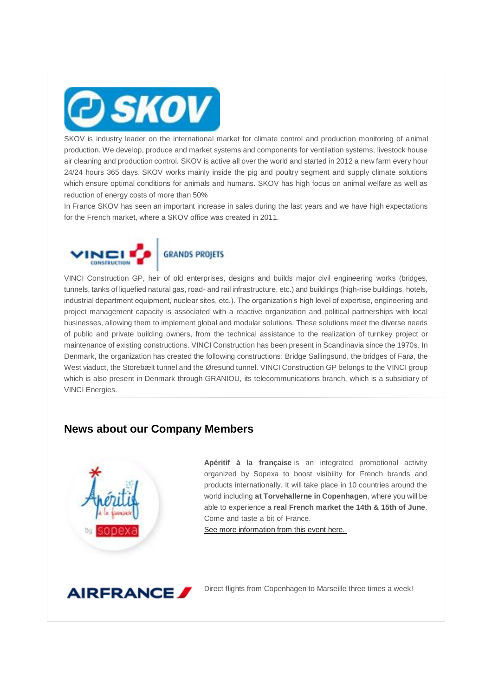

SKOV is industry leader on the international market for climate control and production monitoring of animal production. We develop, produce and market systems and components for ventilation systems, livestock house air cleaning and production control. SKOV is active all over the world and started in 2012 a new farm every hour 24/24 hours 365 days. SKOV works mainly inside the pig and poultry segment and supply climate solutions which ensure optimal conditions for animals and humans. SKOV has high focus on animal welfare as well as reduction of energy costs of more than 50%

In France SKOV has seen an important increase in sales during the last years and we have high expectations for the French market, where a SKOV office was created in 2011.



#### **GRANDS PROJETS**

VINCI Construction GP, heir of old enterprises, designs and builds major civil engineering works (bridges, tunnels, tanks of liquefied natural gas, road- and rail infrastructure, etc.) and buildings (high-rise buildings, hotels, industrial department equipment, nuclear sites, etc.). The organization's high level of expertise, engineering and project management capacity is associated with a reactive organization and political partnerships with local businesses, allowing them to implement global and modular solutions. These solutions meet the diverse needs of public and private building owners, from the technical assistance to the realization of turnkey project or maintenance of existing constructions. VINCI Construction has been present in Scandinavia since the 1970s. In Denmark, the organization has created the following constructions: Bridge Sallingsund, the bridges of Farø, the West viaduct, the Storebælt tunnel and the Øresund tunnel. VINCI Construction GP belongs to the VINCI group which is also present in Denmark through GRANIOU, its telecommunications branch, which is a subsidiary of VINCI Energies.

## **News about our Company Members**



**Apéritif à la française** is an integrated promotional activity organized by Sopexa to boost visibility for French brands and products internationally. It will take place in 10 countries around the world including **at Torvehallerne in Copenhagen**, where you will be able to experience a **real French market the 14th & 15th of June**. Come and taste a bit of France.

[See more information from this event here.](http://www.dansk-fransk.dk/index.php?id=8630)



Direct flights from Copenhagen to Marseille three times a week!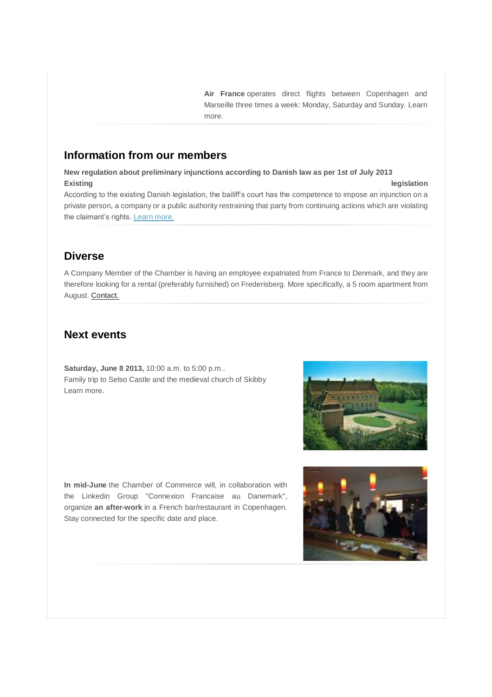**Air France** operates direct flights between Copenhagen and Marseille three times a week: Monday, Saturday and Sunday. Learn more.

## **Information from our members**

**New regulation about preliminary injunctions according to Danish law as per 1st of July 2013 Existing legislation**

According to the existing Danish legislation, the bailiff's court has the competence to impose an injunction on a private person, a company or a public authority restraining that party from continuing actions which are violating the claimant's rights. [Learn more.](http://www.dansk-fransk.dk/index.php?id=8629)

# **Diverse**

A Company Member of the Chamber is having an employee expatriated from France to Denmark, and they are therefore looking for a rental (preferably furnished) on Frederisberg. More specifically, a 5 room apartment from August. [Contact.](mailto:sebastien.bliaut@vinci-construction.com)

### **Next events**

**Saturday, June 8 2013,** 10:00 a.m. to 5:00 p.m.. Family trip to Selso Castle and the medieval church of Skibby Learn more.

**In mid-June** the Chamber of Commerce will, in collaboration with the Linkedin Group "Connexion Francaise au Danemark", organize **an after-work** in a French bar/restaurant in Copenhagen. Stay connected for the specific date and place.